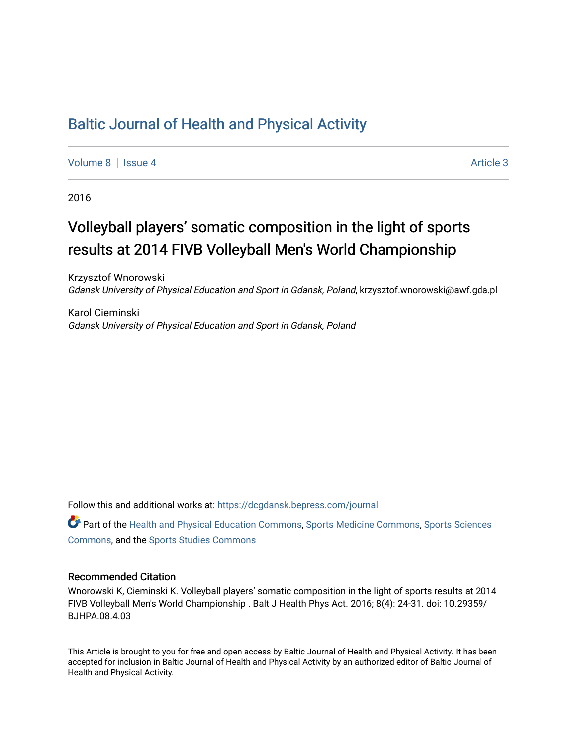### [Baltic Journal of Health and Physical Activity](https://dcgdansk.bepress.com/journal)

[Volume 8](https://dcgdansk.bepress.com/journal/vol8) | [Issue 4](https://dcgdansk.bepress.com/journal/vol8/iss4) Article 3

2016

## Volleyball players' somatic composition in the light of sports results at 2014 FIVB Volleyball Men's World Championship

Krzysztof Wnorowski Gdansk University of Physical Education and Sport in Gdansk, Poland, krzysztof.wnorowski@awf.gda.pl

Karol Cieminski Gdansk University of Physical Education and Sport in Gdansk, Poland

Follow this and additional works at: [https://dcgdansk.bepress.com/journal](https://dcgdansk.bepress.com/journal?utm_source=dcgdansk.bepress.com%2Fjournal%2Fvol8%2Fiss4%2F3&utm_medium=PDF&utm_campaign=PDFCoverPages)

Part of the [Health and Physical Education Commons](http://network.bepress.com/hgg/discipline/1327?utm_source=dcgdansk.bepress.com%2Fjournal%2Fvol8%2Fiss4%2F3&utm_medium=PDF&utm_campaign=PDFCoverPages), [Sports Medicine Commons,](http://network.bepress.com/hgg/discipline/1331?utm_source=dcgdansk.bepress.com%2Fjournal%2Fvol8%2Fiss4%2F3&utm_medium=PDF&utm_campaign=PDFCoverPages) [Sports Sciences](http://network.bepress.com/hgg/discipline/759?utm_source=dcgdansk.bepress.com%2Fjournal%2Fvol8%2Fiss4%2F3&utm_medium=PDF&utm_campaign=PDFCoverPages) [Commons](http://network.bepress.com/hgg/discipline/759?utm_source=dcgdansk.bepress.com%2Fjournal%2Fvol8%2Fiss4%2F3&utm_medium=PDF&utm_campaign=PDFCoverPages), and the [Sports Studies Commons](http://network.bepress.com/hgg/discipline/1198?utm_source=dcgdansk.bepress.com%2Fjournal%2Fvol8%2Fiss4%2F3&utm_medium=PDF&utm_campaign=PDFCoverPages) 

#### Recommended Citation

Wnorowski K, Cieminski K. Volleyball players' somatic composition in the light of sports results at 2014 FIVB Volleyball Men's World Championship . Balt J Health Phys Act. 2016; 8(4): 24-31. doi: 10.29359/ BJHPA.08.4.03

This Article is brought to you for free and open access by Baltic Journal of Health and Physical Activity. It has been accepted for inclusion in Baltic Journal of Health and Physical Activity by an authorized editor of Baltic Journal of Health and Physical Activity.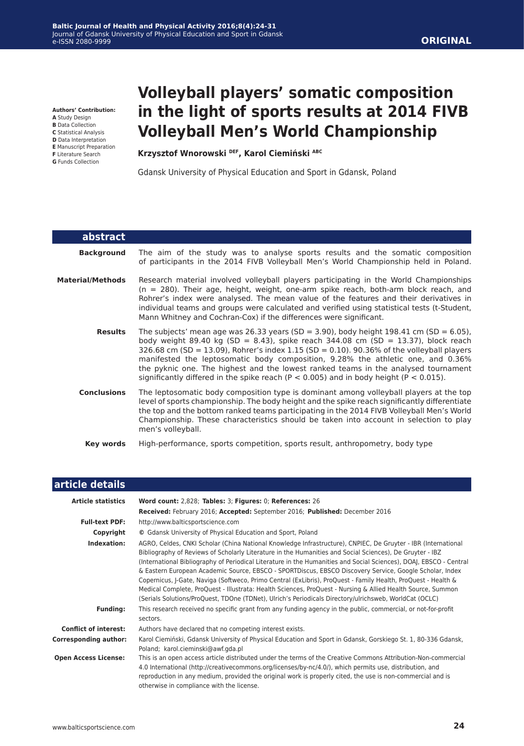**Authors' Contribution:**

- **A** Study Design **B** Data Collection
- **C** Statistical Analysis
- **D** Data Interpretation
- **E** Manuscript Preparation
- **F** Literature Search
- **G** Funds Collection

# **Volleyball players' somatic composition in the light of sports results at 2014 FIVB Volleyball Men's World Championship**

**Krzysztof Wnorowski DEF, Karol Ciemiński ABC**

Gdansk University of Physical Education and Sport in Gdansk, Poland

| <b>abstract</b>         |                                                                                                                                                                                                                                                                                                                                                                                                                                                                                                                                                    |
|-------------------------|----------------------------------------------------------------------------------------------------------------------------------------------------------------------------------------------------------------------------------------------------------------------------------------------------------------------------------------------------------------------------------------------------------------------------------------------------------------------------------------------------------------------------------------------------|
| <b>Background</b>       | The aim of the study was to analyse sports results and the somatic composition<br>of participants in the 2014 FIVB Volleyball Men's World Championship held in Poland.                                                                                                                                                                                                                                                                                                                                                                             |
| <b>Material/Methods</b> | Research material involved volleyball players participating in the World Championships<br>$(n = 280)$ . Their age, height, weight, one-arm spike reach, both-arm block reach, and<br>Rohrer's index were analysed. The mean value of the features and their derivatives in<br>individual teams and groups were calculated and verified using statistical tests (t-Student,<br>Mann Whitney and Cochran-Cox) if the differences were significant.                                                                                                   |
| <b>Results</b>          | The subjects' mean age was 26.33 years (SD = 3.90), body height 198.41 cm (SD = 6.05),<br>body weight 89.40 kg (SD = 8.43), spike reach 344.08 cm (SD = 13.37), block reach<br>326.68 cm (SD = 13.09), Rohrer's index 1.15 (SD = 0.10). 90.36% of the volleyball players<br>manifested the leptosomatic body composition, 9.28% the athletic one, and 0.36%<br>the pyknic one. The highest and the lowest ranked teams in the analysed tournament<br>significantly differed in the spike reach ( $P < 0.005$ ) and in body height ( $P < 0.015$ ). |
| <b>Conclusions</b>      | The leptosomatic body composition type is dominant among volleyball players at the top<br>level of sports championship. The body height and the spike reach significantly differentiate<br>the top and the bottom ranked teams participating in the 2014 FIVB Volleyball Men's World<br>Championship. These characteristics should be taken into account in selection to play<br>men's volleyball.                                                                                                                                                 |
| Key words               | High-performance, sports competition, sports result, anthropometry, body type                                                                                                                                                                                                                                                                                                                                                                                                                                                                      |

| article details              |                                                                                                                                                                                                                                                                                                                                                                                                                                                                                                                                                                                                                                                                                                                                                                                                      |
|------------------------------|------------------------------------------------------------------------------------------------------------------------------------------------------------------------------------------------------------------------------------------------------------------------------------------------------------------------------------------------------------------------------------------------------------------------------------------------------------------------------------------------------------------------------------------------------------------------------------------------------------------------------------------------------------------------------------------------------------------------------------------------------------------------------------------------------|
| <b>Article statistics</b>    | Word count: 2,828; Tables: 3; Figures: 0; References: 26                                                                                                                                                                                                                                                                                                                                                                                                                                                                                                                                                                                                                                                                                                                                             |
|                              | Received: February 2016; Accepted: September 2016; Published: December 2016                                                                                                                                                                                                                                                                                                                                                                                                                                                                                                                                                                                                                                                                                                                          |
| <b>Full-text PDF:</b>        | http://www.balticsportscience.com                                                                                                                                                                                                                                                                                                                                                                                                                                                                                                                                                                                                                                                                                                                                                                    |
| Copyright                    | © Gdansk University of Physical Education and Sport, Poland                                                                                                                                                                                                                                                                                                                                                                                                                                                                                                                                                                                                                                                                                                                                          |
| Indexation:                  | AGRO, Celdes, CNKI Scholar (China National Knowledge Infrastructure), CNPIEC, De Gruyter - IBR (International<br>Bibliography of Reviews of Scholarly Literature in the Humanities and Social Sciences), De Gruyter - IBZ<br>(International Bibliography of Periodical Literature in the Humanities and Social Sciences), DOAJ, EBSCO - Central<br>& Eastern European Academic Source, EBSCO - SPORTDiscus, EBSCO Discovery Service, Google Scholar, Index<br>Copernicus, J-Gate, Naviga (Softweco, Primo Central (ExLibris), ProQuest - Family Health, ProQuest - Health &<br>Medical Complete, ProQuest - Illustrata: Health Sciences, ProQuest - Nursing & Allied Health Source, Summon<br>(Serials Solutions/ProQuest, TDOne (TDNet), Ulrich's Periodicals Directory/ulrichsweb, WorldCat (OCLC) |
| <b>Funding:</b>              | This research received no specific grant from any funding agency in the public, commercial, or not-for-profit<br>sectors.                                                                                                                                                                                                                                                                                                                                                                                                                                                                                                                                                                                                                                                                            |
| <b>Conflict of interest:</b> | Authors have declared that no competing interest exists.                                                                                                                                                                                                                                                                                                                                                                                                                                                                                                                                                                                                                                                                                                                                             |
| <b>Corresponding author:</b> | Karol Ciemiński, Gdansk University of Physical Education and Sport in Gdansk, Gorskiego St. 1, 80-336 Gdansk,<br>Poland; karol.cieminski@awf.gda.pl                                                                                                                                                                                                                                                                                                                                                                                                                                                                                                                                                                                                                                                  |
| <b>Open Access License:</b>  | This is an open access article distributed under the terms of the Creative Commons Attribution-Non-commercial<br>4.0 International (http://creativecommons.org/licenses/by-nc/4.0/), which permits use, distribution, and<br>reproduction in any medium, provided the original work is properly cited, the use is non-commercial and is<br>otherwise in compliance with the license.                                                                                                                                                                                                                                                                                                                                                                                                                 |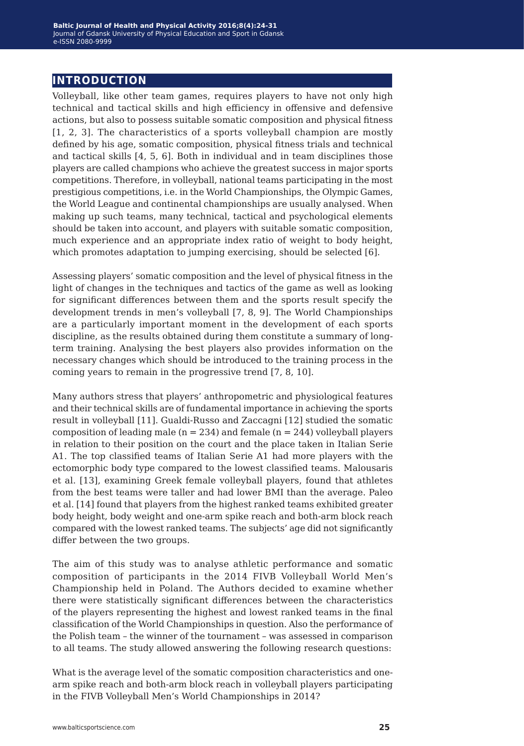### **introduction**

Volleyball, like other team games, requires players to have not only high technical and tactical skills and high efficiency in offensive and defensive actions, but also to possess suitable somatic composition and physical fitness [1, 2, 3]. The characteristics of a sports volleyball champion are mostly defined by his age, somatic composition, physical fitness trials and technical and tactical skills [4, 5, 6]. Both in individual and in team disciplines those players are called champions who achieve the greatest success in major sports competitions. Therefore, in volleyball, national teams participating in the most prestigious competitions, i.e. in the World Championships, the Olympic Games, the World League and continental championships are usually analysed. When making up such teams, many technical, tactical and psychological elements should be taken into account, and players with suitable somatic composition, much experience and an appropriate index ratio of weight to body height, which promotes adaptation to jumping exercising, should be selected [6].

Assessing players' somatic composition and the level of physical fitness in the light of changes in the techniques and tactics of the game as well as looking for significant differences between them and the sports result specify the development trends in men's volleyball [7, 8, 9]. The World Championships are a particularly important moment in the development of each sports discipline, as the results obtained during them constitute a summary of longterm training. Analysing the best players also provides information on the necessary changes which should be introduced to the training process in the coming years to remain in the progressive trend [7, 8, 10].

Many authors stress that players' anthropometric and physiological features and their technical skills are of fundamental importance in achieving the sports result in volleyball [11]. Gualdi-Russo and Zaccagni [12] studied the somatic composition of leading male ( $n = 234$ ) and female ( $n = 244$ ) volleyball players in relation to their position on the court and the place taken in Italian Serie A1. The top classified teams of Italian Serie A1 had more players with the ectomorphic body type compared to the lowest classified teams. Malousaris et al. [13], examining Greek female volleyball players, found that athletes from the best teams were taller and had lower BMI than the average. Paleo et al. [14] found that players from the highest ranked teams exhibited greater body height, body weight and one-arm spike reach and both-arm block reach compared with the lowest ranked teams. The subjects' age did not significantly differ between the two groups.

The aim of this study was to analyse athletic performance and somatic composition of participants in the 2014 FIVB Volleyball World Men's Championship held in Poland. The Authors decided to examine whether there were statistically significant differences between the characteristics of the players representing the highest and lowest ranked teams in the final classification of the World Championships in question. Also the performance of the Polish team – the winner of the tournament – was assessed in comparison to all teams. The study allowed answering the following research questions:

What is the average level of the somatic composition characteristics and onearm spike reach and both-arm block reach in volleyball players participating in the FIVB Volleyball Men's World Championships in 2014?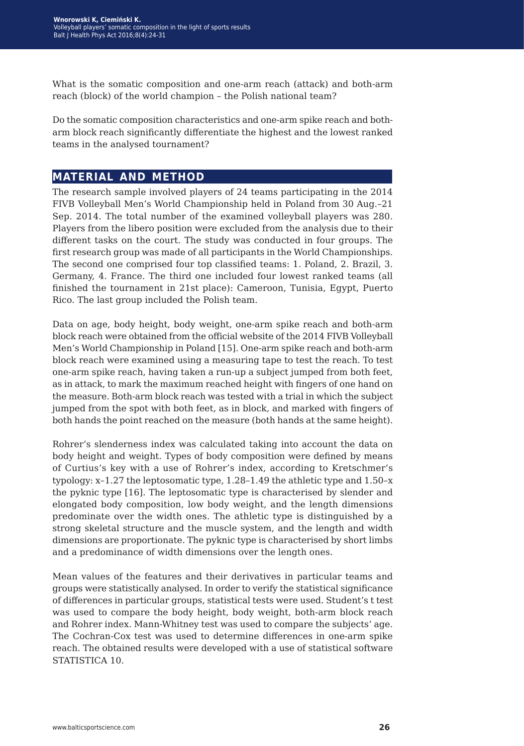What is the somatic composition and one-arm reach (attack) and both-arm reach (block) of the world champion – the Polish national team?

Do the somatic composition characteristics and one-arm spike reach and botharm block reach significantly differentiate the highest and the lowest ranked teams in the analysed tournament?

#### **material and method**

The research sample involved players of 24 teams participating in the 2014 FIVB Volleyball Men's World Championship held in Poland from 30 Aug.–21 Sep. 2014. The total number of the examined volleyball players was 280. Players from the libero position were excluded from the analysis due to their different tasks on the court. The study was conducted in four groups. The first research group was made of all participants in the World Championships. The second one comprised four top classified teams: 1. Poland, 2. Brazil, 3. Germany, 4. France. The third one included four lowest ranked teams (all finished the tournament in 21st place): Cameroon, Tunisia, Egypt, Puerto Rico. The last group included the Polish team.

Data on age, body height, body weight, one-arm spike reach and both-arm block reach were obtained from the official website of the 2014 FIVB Volleyball Men's World Championship in Poland [15]. One-arm spike reach and both-arm block reach were examined using a measuring tape to test the reach. To test one-arm spike reach, having taken a run-up a subject jumped from both feet, as in attack, to mark the maximum reached height with fingers of one hand on the measure. Both-arm block reach was tested with a trial in which the subject jumped from the spot with both feet, as in block, and marked with fingers of both hands the point reached on the measure (both hands at the same height).

Rohrer's slenderness index was calculated taking into account the data on body height and weight. Types of body composition were defined by means of Curtius's key with a use of Rohrer's index, according to Kretschmer's typology: x–1.27 the leptosomatic type, 1.28–1.49 the athletic type and 1.50–x the pyknic type [16]. The leptosomatic type is characterised by slender and elongated body composition, low body weight, and the length dimensions predominate over the width ones. The athletic type is distinguished by a strong skeletal structure and the muscle system, and the length and width dimensions are proportionate. The pyknic type is characterised by short limbs and a predominance of width dimensions over the length ones.

Mean values of the features and their derivatives in particular teams and groups were statistically analysed. In order to verify the statistical significance of differences in particular groups, statistical tests were used. Student's t test was used to compare the body height, body weight, both-arm block reach and Rohrer index. Mann-Whitney test was used to compare the subjects' age. The Cochran-Cox test was used to determine differences in one-arm spike reach. The obtained results were developed with a use of statistical software STATISTICA 10.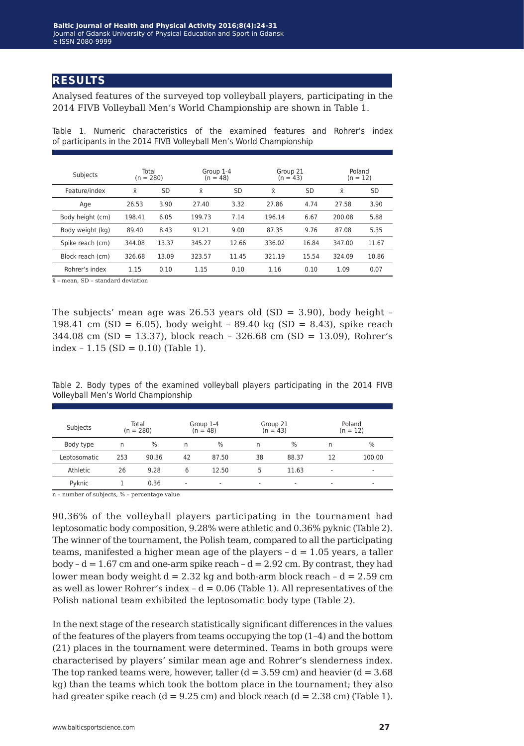#### **results**

Analysed features of the surveyed top volleyball players, participating in the 2014 FIVB Volleyball Men's World Championship are shown in Table 1.

| Subjects         | Total<br>$(n = 280)$ |       | Group 1-4<br>(n = 48) |       | Group 21<br>$(n = 43)$ |       | Poland<br>$(n = 12)$ |       |  |
|------------------|----------------------|-------|-----------------------|-------|------------------------|-------|----------------------|-------|--|
| Feature/index    | Ÿ                    | SD    | $\bar{\mathsf{x}}$    | SD    | $\bar{x}$              | SD    | $\bar{x}$            | SD    |  |
| Age              | 26.53                | 3.90  | 27.40                 | 3.32  | 27.86                  | 4.74  | 27.58                | 3.90  |  |
| Body height (cm) | 198.41               | 6.05  | 199.73                | 7.14  | 196.14                 | 6.67  | 200.08               | 5.88  |  |
| Body weight (kg) | 89.40                | 8.43  | 91.21                 | 9.00  | 87.35                  | 9.76  | 87.08                | 5.35  |  |
| Spike reach (cm) | 344.08               | 13.37 | 345.27                | 12.66 | 336.02                 | 16.84 | 347.00               | 11.67 |  |
| Block reach (cm) | 326.68               | 13.09 | 323.57                | 11.45 | 321.19                 | 15.54 | 324.09               | 10.86 |  |
| Rohrer's index   | 1.15                 | 0.10  | 1.15                  | 0.10  | 1.16                   | 0.10  | 1.09                 | 0.07  |  |

Table 1. Numeric characteristics of the examined features and Rohrer's index of participants in the 2014 FIVB Volleyball Men's World Championship

 $\bar{x}$  – mean, SD – standard deviation

The subjects' mean age was  $26.53$  years old  $(SD = 3.90)$ , body height – 198.41 cm (SD = 6.05), body weight - 89.40 kg (SD = 8.43), spike reach 344.08 cm (SD = 13.37), block reach – 326.68 cm (SD = 13.09), Rohrer's  $index - 1.15 (SD = 0.10) (Table 1).$ 

|  |  |  |                                     |  | Table 2. Body types of the examined volleyball players participating in the 2014 FIVB |  |  |
|--|--|--|-------------------------------------|--|---------------------------------------------------------------------------------------|--|--|
|  |  |  | Volleyball Men's World Championship |  |                                                                                       |  |  |

| Subjects     | Total<br>$(n = 280)$ |       | Group 1-4<br>$(n = 48)$  |                          | Group 21 | $(n = 43)$               | Poland<br>$(n = 12)$     |        |  |
|--------------|----------------------|-------|--------------------------|--------------------------|----------|--------------------------|--------------------------|--------|--|
| Body type    | n                    | $\%$  | n                        | $\%$                     | n        | %                        | n                        | $\%$   |  |
| Leptosomatic | 253                  | 90.36 | 42                       | 87.50                    | 38       | 88.37                    | 12                       | 100.00 |  |
| Athletic     | 26                   | 9.28  | 6                        | 12.50                    | 5        | 11.63                    | ٠                        | -      |  |
| Pyknic       |                      | 0.36  | $\overline{\phantom{a}}$ | $\overline{\phantom{a}}$ | ۰        | $\overline{\phantom{a}}$ | $\overline{\phantom{a}}$ | -      |  |
| .            |                      |       |                          |                          |          |                          |                          |        |  |

n – number of subjects, % – percentage value

90.36% of the volleyball players participating in the tournament had leptosomatic body composition, 9.28% were athletic and 0.36% pyknic (Table 2). The winner of the tournament, the Polish team, compared to all the participating teams, manifested a higher mean age of the players  $-d = 1.05$  years, a taller body –  $d = 1.67$  cm and one-arm spike reach –  $d = 2.92$  cm. By contrast, they had lower mean body weight  $d = 2.32$  kg and both-arm block reach  $-d = 2.59$  cm as well as lower Rohrer's index -  $d = 0.06$  (Table 1). All representatives of the Polish national team exhibited the leptosomatic body type (Table 2).

In the next stage of the research statistically significant differences in the values of the features of the players from teams occupying the top (1–4) and the bottom (21) places in the tournament were determined. Teams in both groups were characterised by players' similar mean age and Rohrer's slenderness index. The top ranked teams were, however, taller  $(d = 3.59 \text{ cm})$  and heavier  $(d = 3.68 \text{ m})$ kg) than the teams which took the bottom place in the tournament; they also had greater spike reach  $(d = 9.25 \text{ cm})$  and block reach  $(d = 2.38 \text{ cm})$  (Table 1).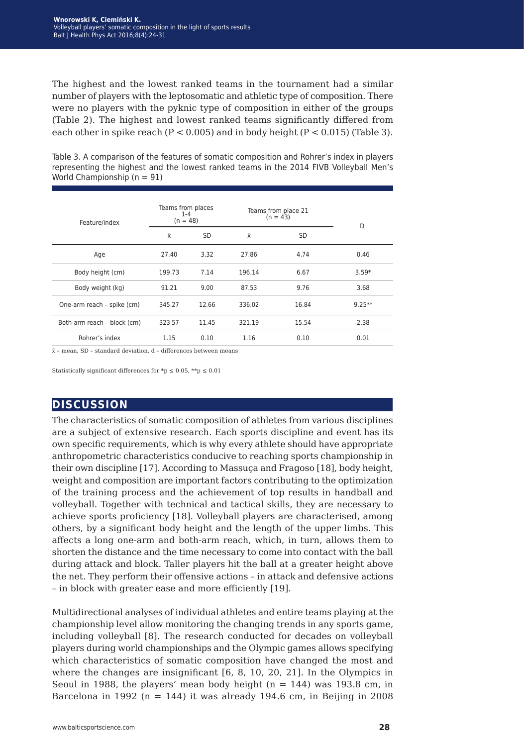The highest and the lowest ranked teams in the tournament had a similar number of players with the leptosomatic and athletic type of composition. There were no players with the pyknic type of composition in either of the groups (Table 2). The highest and lowest ranked teams significantly differed from each other in spike reach ( $P < 0.005$ ) and in body height ( $P < 0.015$ ) (Table 3).

Table 3. A comparison of the features of somatic composition and Rohrer's index in players representing the highest and the lowest ranked teams in the 2014 FIVB Volleyball Men's World Championship (n = 91)

| Feature/index               | Teams from places<br>$1 - 4$<br>$(n = 48)$ |           | Teams from place 21<br>$(n = 43)$ | D         |          |
|-----------------------------|--------------------------------------------|-----------|-----------------------------------|-----------|----------|
|                             | Χī                                         | <b>SD</b> | $\bar{x}$                         | <b>SD</b> |          |
| Age                         | 27.40                                      | 3.32      | 27.86                             | 4.74      | 0.46     |
| Body height (cm)            | 199.73                                     | 7.14      | 196.14                            | 6.67      | $3.59*$  |
| Body weight (kg)            | 91.21                                      | 9.00      | 87.53                             | 9.76      | 3.68     |
| One-arm reach - spike (cm)  | 345.27                                     | 12.66     | 336.02                            | 16.84     | $9.25**$ |
| Both-arm reach - block (cm) | 323.57                                     | 11.45     | 321.19                            | 15.54     | 2.38     |
| Rohrer's index              | 1.15                                       | 0.10      | 1.16                              | 0.10      | 0.01     |

x̄ – mean, SD – standard deviation, d – differences between means

Statistically significant differences for \*p  $\leq 0.05$ , \*\*p  $\leq 0.01$ 

#### **discussion**

The characteristics of somatic composition of athletes from various disciplines are a subject of extensive research. Each sports discipline and event has its own specific requirements, which is why every athlete should have appropriate anthropometric characteristics conducive to reaching sports championship in their own discipline [17]. According to Massuça and Fragoso [18], body height, weight and composition are important factors contributing to the optimization of the training process and the achievement of top results in handball and volleyball. Together with technical and tactical skills, they are necessary to achieve sports proficiency [18]. Volleyball players are characterised, among others, by a significant body height and the length of the upper limbs. This affects a long one-arm and both-arm reach, which, in turn, allows them to shorten the distance and the time necessary to come into contact with the ball during attack and block. Taller players hit the ball at a greater height above the net. They perform their offensive actions – in attack and defensive actions – in block with greater ease and more efficiently [19].

Multidirectional analyses of individual athletes and entire teams playing at the championship level allow monitoring the changing trends in any sports game, including volleyball [8]. The research conducted for decades on volleyball players during world championships and the Olympic games allows specifying which characteristics of somatic composition have changed the most and where the changes are insignificant [6, 8, 10, 20, 21]. In the Olympics in Seoul in 1988, the players' mean body height  $(n = 144)$  was 193.8 cm, in Barcelona in 1992 ( $n = 144$ ) it was already 194.6 cm, in Beijing in 2008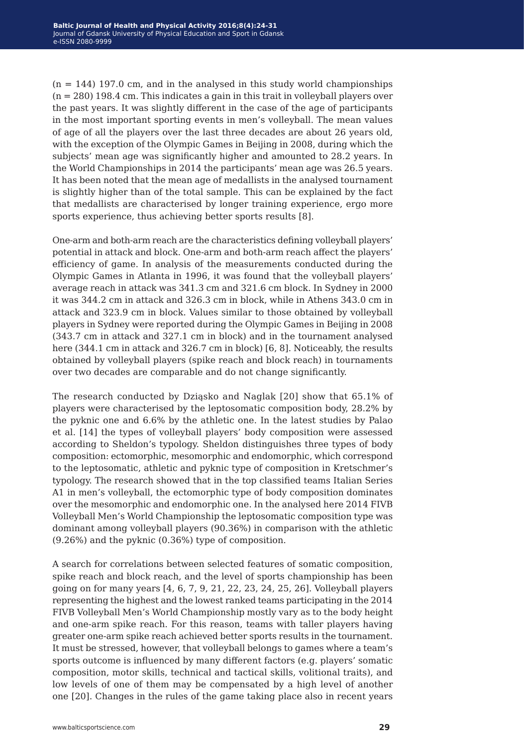$(n = 144)$  197.0 cm, and in the analysed in this study world championships  $(n = 280)$  198.4 cm. This indicates a gain in this trait in volleyball players over the past years. It was slightly different in the case of the age of participants in the most important sporting events in men's volleyball. The mean values of age of all the players over the last three decades are about 26 years old, with the exception of the Olympic Games in Beijing in 2008, during which the subjects' mean age was significantly higher and amounted to 28.2 years. In the World Championships in 2014 the participants' mean age was 26.5 years. It has been noted that the mean age of medallists in the analysed tournament is slightly higher than of the total sample. This can be explained by the fact that medallists are characterised by longer training experience, ergo more sports experience, thus achieving better sports results [8].

One-arm and both-arm reach are the characteristics defining volleyball players' potential in attack and block. One-arm and both-arm reach affect the players' efficiency of game. In analysis of the measurements conducted during the Olympic Games in Atlanta in 1996, it was found that the volleyball players' average reach in attack was 341.3 cm and 321.6 cm block. In Sydney in 2000 it was 344.2 cm in attack and 326.3 cm in block, while in Athens 343.0 cm in attack and 323.9 cm in block. Values similar to those obtained by volleyball players in Sydney were reported during the Olympic Games in Beijing in 2008 (343.7 cm in attack and 327.1 cm in block) and in the tournament analysed here (344.1 cm in attack and 326.7 cm in block) [6, 8]. Noticeably, the results obtained by volleyball players (spike reach and block reach) in tournaments over two decades are comparable and do not change significantly.

The research conducted by Dziąsko and Naglak [20] show that 65.1% of players were characterised by the leptosomatic composition body, 28.2% by the pyknic one and 6.6% by the athletic one. In the latest studies by Palao et al. [14] the types of volleyball players' body composition were assessed according to Sheldon's typology. Sheldon distinguishes three types of body composition: ectomorphic, mesomorphic and endomorphic, which correspond to the leptosomatic, athletic and pyknic type of composition in Kretschmer's typology. The research showed that in the top classified teams Italian Series A1 in men's volleyball, the ectomorphic type of body composition dominates over the mesomorphic and endomorphic one. In the analysed here 2014 FIVB Volleyball Men's World Championship the leptosomatic composition type was dominant among volleyball players (90.36%) in comparison with the athletic (9.26%) and the pyknic (0.36%) type of composition.

A search for correlations between selected features of somatic composition, spike reach and block reach, and the level of sports championship has been going on for many years [4, 6, 7, 9, 21, 22, 23, 24, 25, 26]. Volleyball players representing the highest and the lowest ranked teams participating in the 2014 FIVB Volleyball Men's World Championship mostly vary as to the body height and one-arm spike reach. For this reason, teams with taller players having greater one-arm spike reach achieved better sports results in the tournament. It must be stressed, however, that volleyball belongs to games where a team's sports outcome is influenced by many different factors (e.g. players' somatic composition, motor skills, technical and tactical skills, volitional traits), and low levels of one of them may be compensated by a high level of another one [20]. Changes in the rules of the game taking place also in recent years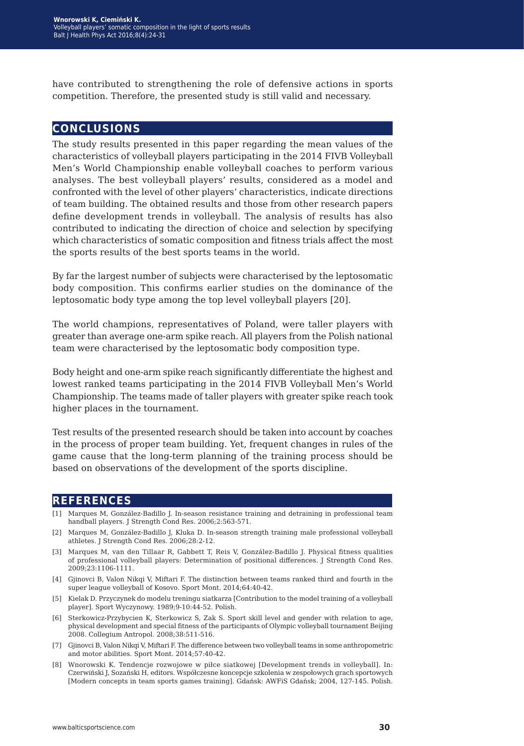have contributed to strengthening the role of defensive actions in sports competition. Therefore, the presented study is still valid and necessary.

#### **conclusions**

The study results presented in this paper regarding the mean values of the characteristics of volleyball players participating in the 2014 FIVB Volleyball Men's World Championship enable volleyball coaches to perform various analyses. The best volleyball players' results, considered as a model and confronted with the level of other players' characteristics, indicate directions of team building. The obtained results and those from other research papers define development trends in volleyball. The analysis of results has also contributed to indicating the direction of choice and selection by specifying which characteristics of somatic composition and fitness trials affect the most the sports results of the best sports teams in the world.

By far the largest number of subjects were characterised by the leptosomatic body composition. This confirms earlier studies on the dominance of the leptosomatic body type among the top level volleyball players [20].

The world champions, representatives of Poland, were taller players with greater than average one-arm spike reach. All players from the Polish national team were characterised by the leptosomatic body composition type.

Body height and one-arm spike reach significantly differentiate the highest and lowest ranked teams participating in the 2014 FIVB Volleyball Men's World Championship. The teams made of taller players with greater spike reach took higher places in the tournament.

Test results of the presented research should be taken into account by coaches in the process of proper team building. Yet, frequent changes in rules of the game cause that the long-term planning of the training process should be based on observations of the development of the sports discipline.

#### **references**

- [1] Marques M, González-Badillo J. In-season resistance training and detraining in professional team handball players. J Strength Cond Res. 2006;2:563-571.
- [2] Marques M, González-Badillo J, Kluka D. In-season strength training male professional volleyball athletes. J Strength Cond Res. 2006;28:2-12.
- [3] Marques M, van den Tillaar R, Gabbett T, Reis V, González-Badillo J. Physical fitness qualities of professional volleyball players: Determination of positional differences. J Strength Cond Res. 2009;23:1106-1111.
- [4] Gjinovci B, Valon Nikqi V, Miftari F. The distinction between teams ranked third and fourth in the super league volleyball of Kosovo. Sport Mont. 2014;64:40-42.
- [5] Kielak D. Przyczynek do modelu treningu siatkarza [Contribution to the model training of a volleyball player]. Sport Wyczynowy. 1989;9-10:44-52. Polish.
- [6] Sterkowicz-Przybycien K, Sterkowicz S, Zak S. Sport skill level and gender with relation to age, physical development and special fitness of the participants of Olympic volleyball tournament Beijing 2008. Collegium Antropol. 2008;38:511-516.
- [7] Gjinovci B, Valon Nikqi V, Miftari F. The difference between two volleyball teams in some anthropometric and motor abilities. Sport Mont. 2014;57:40-42.
- [8] Wnorowski K. Tendencje rozwojowe w piłce siatkowej [Development trends in volleyball]. In: Czerwiński J, Sozański H, editors. Współczesne koncepcje szkolenia w zespołowych grach sportowych [Modern concepts in team sports games training]. Gdańsk: AWFiS Gdańsk; 2004, 127-145. Polish.